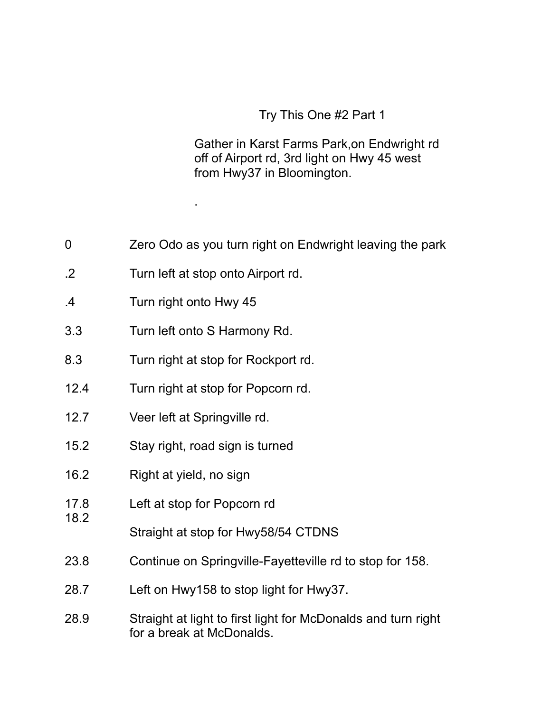## Try This One #2 Part 1

Gather in Karst Farms Park,on Endwright rd off of Airport rd, 3rd light on Hwy 45 west from Hwy37 in Bloomington.

|  | Zero Odo as you turn right on Endwright leaving the park |  |
|--|----------------------------------------------------------|--|
|  |                                                          |  |

.2 Turn left at stop onto Airport rd.

.

- .4 Turn right onto Hwy 45
- 3.3 Turn left onto S Harmony Rd.
- 8.3 Turn right at stop for Rockport rd.
- 12.4 Turn right at stop for Popcorn rd.
- 12.7 Veer left at Springville rd.
- 15.2 Stay right, road sign is turned
- 16.2 Right at yield, no sign

18.2

- 17.8 Left at stop for Popcorn rd
	- Straight at stop for Hwy58/54 CTDNS
- 23.8 Continue on Springville-Fayetteville rd to stop for 158.
- 28.7 Left on Hwy158 to stop light for Hwy37.
- 28.9 Straight at light to first light for McDonalds and turn right for a break at McDonalds.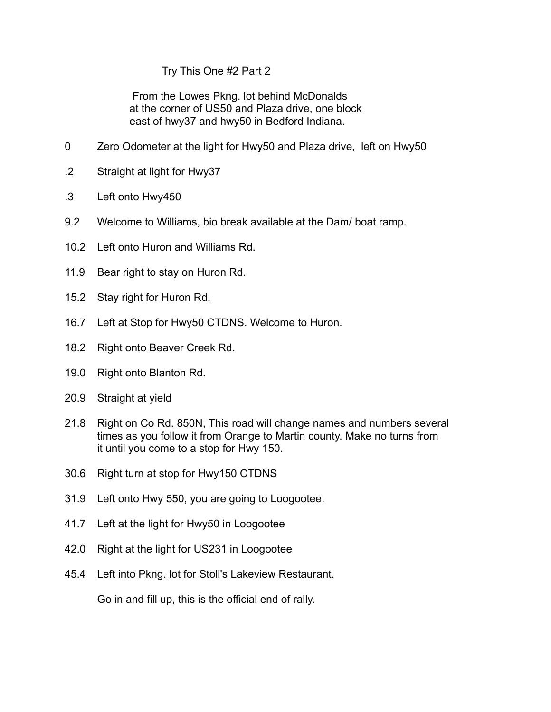## Try This One #2 Part 2

 From the Lowes Pkng. lot behind McDonalds at the corner of US50 and Plaza drive, one block east of hwy37 and hwy50 in Bedford Indiana.

- 0 Zero Odometer at the light for Hwy50 and Plaza drive, left on Hwy50
- .2 Straight at light for Hwy37
- .3 Left onto Hwy450
- 9.2 Welcome to Williams, bio break available at the Dam/ boat ramp.
- 10.2 Left onto Huron and Williams Rd.
- 11.9 Bear right to stay on Huron Rd.
- 15.2 Stay right for Huron Rd.
- 16.7 Left at Stop for Hwy50 CTDNS. Welcome to Huron.
- 18.2 Right onto Beaver Creek Rd.
- 19.0 Right onto Blanton Rd.
- 20.9 Straight at yield
- 21.8 Right on Co Rd. 850N, This road will change names and numbers several times as you follow it from Orange to Martin county. Make no turns from it until you come to a stop for Hwy 150.
- 30.6 Right turn at stop for Hwy150 CTDNS
- 31.9 Left onto Hwy 550, you are going to Loogootee.
- 41.7 Left at the light for Hwy50 in Loogootee
- 42.0 Right at the light for US231 in Loogootee
- 45.4 Left into Pkng. lot for Stoll's Lakeview Restaurant.

Go in and fill up, this is the official end of rally.